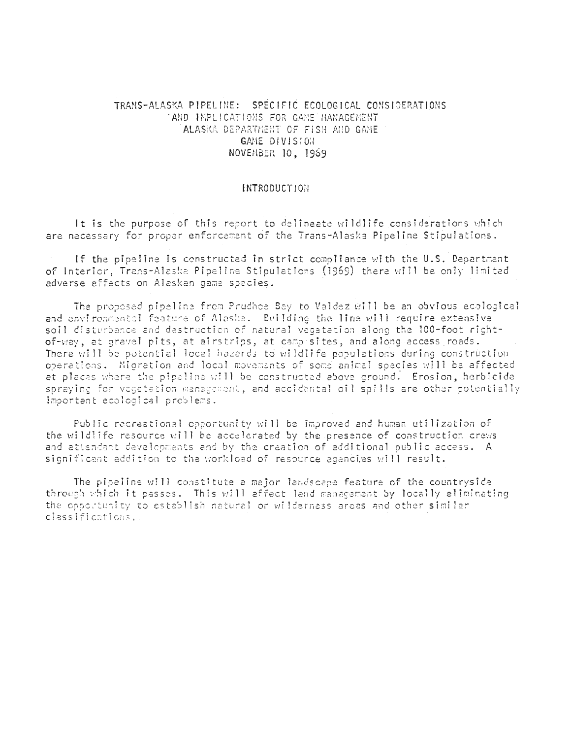# TRANS-ALASKA PIPELINE: SPECIFIC ECOLOGICAL CONSIDERATIONS AND INPLICATIONS FOR GAME MANAGEMENT ALASKA DEPARTMENT OF FISH AND GAME GAME DIVISION NOVEMBER 10, 1969

## **INTRODUCTION**

It is the purpose of this report to delineate wildlife considerations which are necessary for proper enforcement of the Trans-Alaska Pipeline Stipulations.

If the pipeline is constructed in strict compliance with the U.S. Department of Interior, Trans-Alaska Pipeline Stipulations (1969) there will be only limited adverse effects on Alaskan game species.

The proposed pipeline from Prudhoe Bay to Valdez will be an obvious ecological and environmental feature of Alaska. Building the line will require extensive soil disturbance and destruction of natural vegetation along the 100-foot rightof-way, at gravel pits, at airstrips, at camp sites, and along-access roads. There will be potential local hazards to wildlife populations during construction operations. Migration and local movements of some animal species will be affected at places where the pipaline will be constructed above ground. Erosion, herbicide spraying for vegetation management, and accidental oil spills are other potentially important ecological problems.

Public recreational opportunity will be improved and human utilization of the wildlife resource will be accelerated by the presence of construction crews and attendant developments and by the creation of additional public access. A significant addition to the workload of resource agencies will result.

The pipeline will constitute a major landscape feature of the countryside through which it passes. This will affect land management by locally eliminating the opportunity to establish natural or wilderness areas and other similar classifications.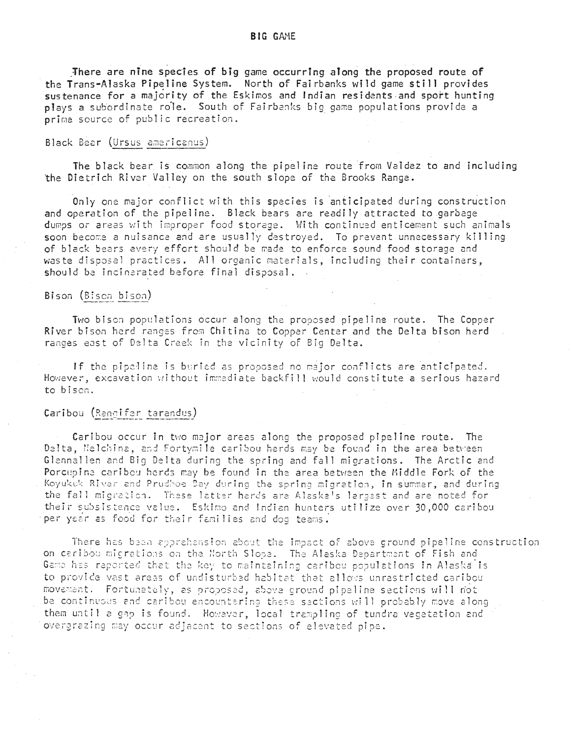There are nine species of big game occurring along the proposed route of the Trans-Alaska Pipeline System. North of Fairbanks wild game still provides sustenance for a majority of the Eskimos and Indian residents and sport hunting plays a subordinate role. South of Fairbanks big game populations provide a prime source of public recreation.

## Black Bear (Ursus americanus)

The black bear is common along the pipeline route from Valdez to and including the Dietrich River Valley on the south slope of the Brooks Range.

Only one major conflict with this species is anticipated during construction and operation of the pipeline. Black bears are readily attracted to garbage dumps or areas with improper food storage. With continued enticement such animals soon become a nuisance and are usually destroyed. To prevent unnecessary killing of black bears every effort should be made to enforce sound food storage and waste disposal practices. All organic materials, including their containers, should be incinerated before final disposal.

### Bison (Bison bison)

Two bison populations occur along the proposed pipeline route. The Copper River bison herd ranges from Chitina to Copper Center and the Delta bison herd ranges east of Delta Creek in the vicinity of Big Delta.

If the pipeline is buried as proposed no major conflicts are anticipated. However, excavation without immadiate backfill would constitute a serious hazard to bison.

# Caribou (Rendifor tarandus)

Caribou occur in two major areas along the proposed pipeline route. The Delta, Nelchina, and Fortymile caribou herds may be found in the area between Glennallen and Big Delta during the spring and fall migrations. The Arctic and Porcupine caribou herds may be found in the area between the Middle Fork of the Koyukuk River and Prudhoe Bay during the spring migration, in summer, and during the fall migration. These latter herds are Alaska's largest and are noted for their subsistence value. Eskimo and Indian hunters utilize over 30,000 caribou per year as food for their families and dog teams.

There has been apprehension about the impact of above ground pipeline construction on caribou migrations on the North Slope. The Alaska Department of Fish and Game has reported that the key to maintaining caribou populations in Alaska is to provide vast areas of undisturbed habitat that allows unrestricted caribou movement. Fortunately, as proposed, above ground pipeline sections will mot be continuous and caribou encountaring these sections will probably move along them until a gap is found. However, local trampling of tundra vegetation and overgrazing may occur adjacent to sections of elevated pipe.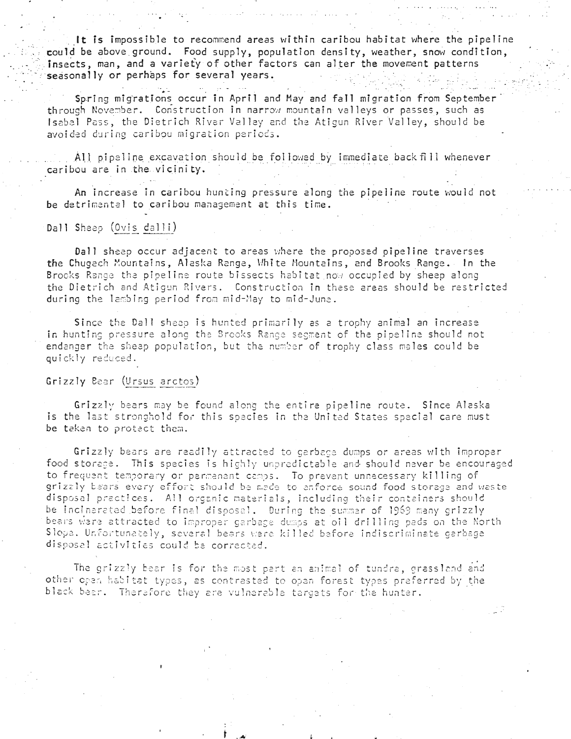It is impossible to recommend areas within caribou habitat where the pipeline could be above ground. Food supply, population density, weather, snow condition, insects, man, and a variety of other factors can alter the movement patterns seasonally or perhaps for several years.

Spring migrations occur in April and May and fall migration from September through November. Construction in narrow mountain valleys or passes, such as Isabel Pass, the Dietrich River Valley and the Atigun River Valley, should be avoided during caribou migration periods.

All pipeline excavation should be followed by immediate back fill whenever caribou are in the vicinity.

An increase in caribou hunting pressure along the pipeline route would not be detrimental to caribou management at this time.

### Dall Sheep (Ovis dalli)

Dall sheep occur adjacent to areas where the proposed pipeline traverses the Chugech Mountains, Alaska Range, White Mountains, and Brooks Range. In the Brocks Range the pipeline route bissects habitat now occupied by sheep along the Dietrich and Atiqun Rivers. Construction in these areas should be restricted during the lambing period from mid-May to mid-June.

Since the Dall sheep is hunted primarily as a trophy animal an increase in hunting pressure along the Brooks Range segment of the pipeline should not endanger the sheep population, but the number of trophy class males could be quickly reduced.

## Grizzly Bear (Ursus arctos)

Grizzly bears may be found along the entire pipeline route. Since Alaska is the last stronghold for this species in the United States special care must be taken to protact them.

Grizzly bears are readily attracted to garbage dumps or areas with improper food storage. This species is highly unpredictable and should never be encouraged to frequent temporary or permanent camps. To prevent unnecessary killing of grizzly bears every effort should be mede to enforce sound food storage and waste disposal practices. All organic materials, including their containers should be incinarated before final disposal. During the summar of 1969 many grizzly bears were attracted to improper garbage dumos at oil drilling pads on the North Slope, Unfortunately, several bears were killed before indiscriminate garbage disposal activities could be corrected.

The grizzly bear is for the most part an animal of tundra, grassland and other open habitat types, as contrasted to open forest types preferred by the black been. Therefore they are vulnerable targets for the hunter.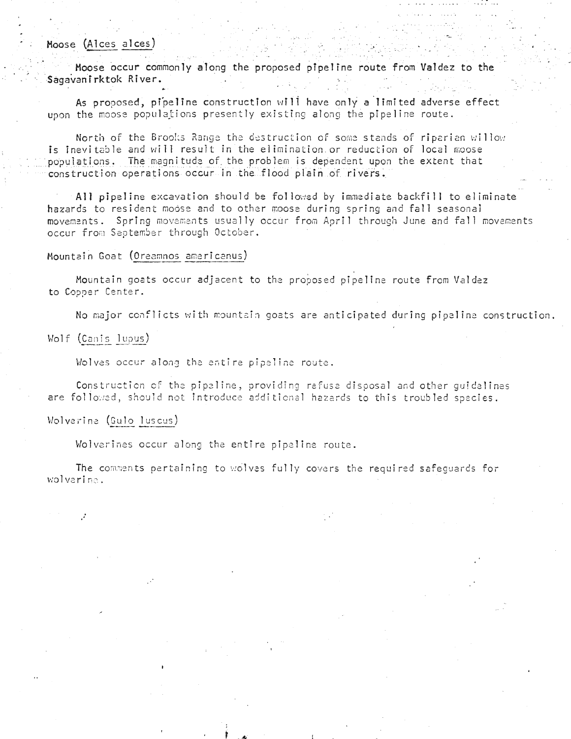# Moose (Alces alces)

Moose occur commonly along the proposed pipeline route from Valdez to the Sagavanirktok River.

As proposed, pipeline construction will have only a limited adverse effect upon the moose populations presently existing along the pipeline route.

North of the Brooks Range the destruction of some stands of riparian willow is inevitable and will result in the elimination or reduction of local moose populations. The magnitude of the problem is dependent upon the extent that construction operations occur in the flood plain of rivers.

All pipeline excavation should be followed by immediate backfill to eliminate hazards to resident modse and to other moose during spring and fall seasonal movements. Spring movements usually occur from April through June and fall movements occur from September through October.

#### Mountain Goat (Oreamnos americanus)

Mountain goats occur adjacent to the proposed pipeline route from Valdez to Copper Center.

No major conflicts with mountain goats are anticipated during pipeline construction.

### Wolf (Canis lupus)

Wolves occur along the entire pipeline route.

Construction of the pipeline, providing refuse disposal and other quidelines are followed, should not introduce additional hazards to this troubled species.

### Wolverine (Gulo luscus)

Wolverines occur along the entire pipeline route.

The comments pertaining to wolves fully covers the required safequards for wolvering.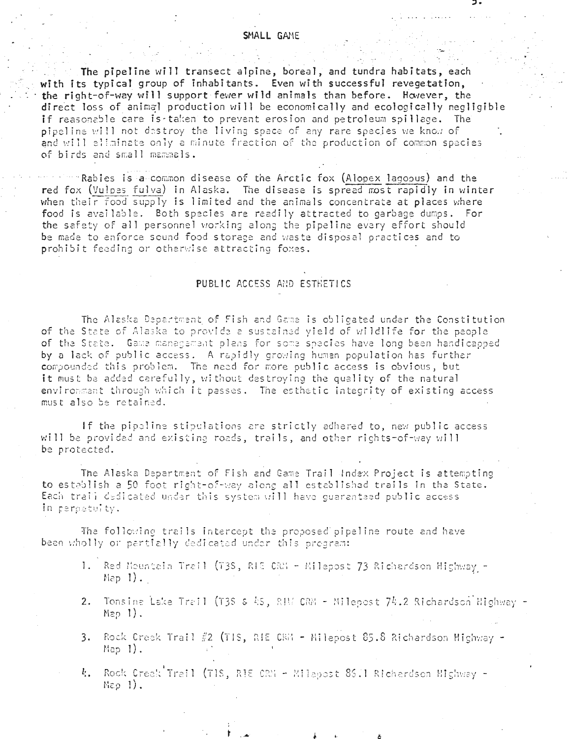## SMALL GAME

The pipeline will transect alpine, boreal, and tundra habitats, each with its typical group of inhabitants. Even with successful revegetation, the right-of-way will support fewer wild animals than before. However, the direct loss of animal production will be economically and ecologically negligible if reasonable care is taken to prevent erosion and petroleum spillage. The pipeline will not destroy the living space of any rare species we know of and will eliminate only a minute fraction of the production of common species of birds and small mammals.

 $^{\rm m}$  Rabies is a common disease of the Arctic fox (Alopex lagopus) and the red fox (Vulpes fulva) in Alaska. The disease is spread most rapidly in winter when their food supply is limited and the animals concentrate at places where food is available. Both species are readily attracted to garbage dumps. For the safety of all personnel working along the pipeline every effort should be made to enforce sound food storage and waste disposal practices and to prohibit feeding or otherwise attracting foxes.

# PUBLIC ACCESS AND ESTRETICS

The Alaska Department of Fish and Game is obligated under the Constitution of the State of Alaska to provide a sustained yield of wildlife for the people of the State. Game management plans for some species have long been handicapped by a lack of public access. A rapidly growing human population has further compounded this problem. The need for more public access is obvious, but it must be added carefully, without destroying the quality of the natural environment through which it passes. The esthetic integrity of existing access must also be retained.

If the pipeline stipulations are strictly adhered to, new public access will be provided and existing roads, trails, and other rights-of-way will be protected.

The Alaska Department of Fish and Game Trail Index Project is attempting to establish a 50 foot right-of-way along all established trails in the State. Each trail dedicated under this system will have guaranteed public access In perpetuity.

The following trails intercept the proposed pipeline route and have been wholly or partially dedicated under this program:

- 1. Red Mountain Trail (73S, RIE CRM Milepost 73 Richardson Highway - $Map_1$ ).
- 2. Tonsina Lake Trail (T3S & AS, RIM CRM Milepost 74.2 Richardson Highway -Map  $1)$ .
- 3. Rock Creek Trail  $\#2$  (TIS, RIE CRM Milepost 85.8 Richardson Highway - $Map$   $1$ ).
- 4. Rock Creek Trail (TIS, RIE CRM Milagost 86.1 Richardson Highway - $Step 1$ .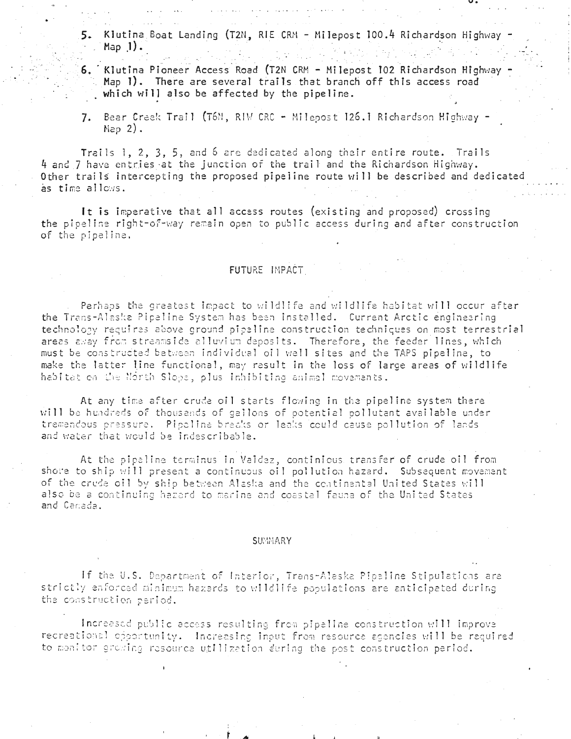- 5. Klutina Boat Landing (T2N, RIE CRM Milepost 100.4 Richardson Highway  $Map 1$ .
- 6. Klutina Pioneer Access Road (T2N CRM Milepost 102 Richardson Highway Map 1). There are several trails that branch off this access road which will also be affected by the pipeline.
- Bear Creek Trail (T6N, RIW CRC Milepost 126.1 Richardson Highway - $7.$  $Map(2)$ .

Trails 1, 2, 3, 5, and 6 are dedicated along their entire route. Trails 4 and 7 have entries at the junction of the trail and the Richardson Highway. Other trails intercepting the proposed pipeline route will be described and dedicated as time allows.

It is imperative that all access routes (existing and proposed) crossing the pipeline right-of-way remain open to public access during and after construction of the pipeline.

### FUTURE IMPACT

Perhaps the greatest impact to wildlife and wildlife habitat will occur after the Trans-Alaska Pipeline System has been installed. Current Arctic engineering technology requires above ground pipaline construction techniques on most terrestrial areas away from streamside alluvium deposits. Therefore, the feeder lines, which must be constructed between individual oil well sites and the TAPS pipeline, to make the latter line functional, may result in the loss of large areas of wildlife habitat on the North Slope, plus inhibiting animal movements.

At any time after crude oil starts flowing in the pipeline system there will be hundreds of thousends of gellons of potential pollutant available under tremendous pressure. Pipeline breaks or leaks could cause pollution of lands and water that would be indescribable.

At the pipeline terminus in Vaidez, continious transfer of crude oil from shore to ship will present a continuous oil pollution hazard. Subsequent movement of the crude oil by ship between Alaska and the continental United States will also be a continuing hazard to marine and coastal fauna of the United States and Canada.

#### **SUMMARY**

If the U.S. Department of Interior, Trans-Aleska Pipeline Stipulations are strictly enforced minimum hazards to wildlife populations are anticipated during the construction period.

Increased public access resulting from pipeline construction will improve recreational opportunity. Increasing input from resource agencies will be required to monitor growing resource utilization during the post construction period.